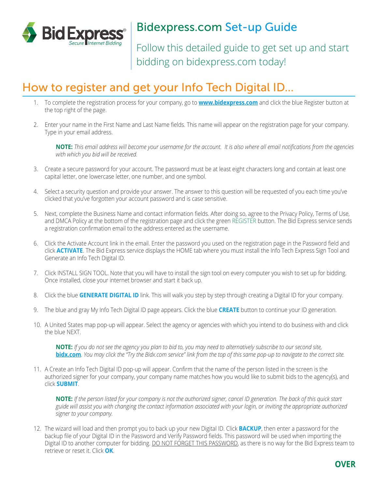

# Bidexpress.com Set-up Guide

Follow this detailed guide to get set up and start bidding on bidexpress.com today!

## How to register and get your Info Tech Digital ID...

- 1. To complete the registration process for your company, go to **www.bidexpress.com** and click the blue Register button at the top right of the page.
- 2. Enter your name in the First Name and Last Name fields. This name will appear on the registration page for your company. Type in your email address.

**NOTE:** *This email address will become your username for the account. It is also where all email notifications from the agencies with which you bid will be received.*

- 3. Create a secure password for your account. The password must be at least eight characters long and contain at least one capital letter, one lowercase letter, one number, and one symbol.
- 4. Select a security question and provide your answer. The answer to this question will be requested of you each time you've clicked that you've forgotten your account password and is case sensitive.
- 5. Next, complete the Business Name and contact information fields. After doing so, agree to the Privacy Policy, Terms of Use, and DMCA Policy at the bottom of the registration page and click the green REGISTER button. The Bid Express service sends a registration confirmation email to the address entered as the username.
- 6. Click the Activate Account link in the email. Enter the password you used on the registration page in the Password field and click **ACTIVATE**. The Bid Express service displays the HOME tab where you must install the Info Tech Express Sign Tool and Generate an Info Tech Digital ID.
- 7. Click INSTALL SIGN TOOL. Note that you will have to install the sign tool on every computer you wish to set up for bidding. Once installed, close your internet browser and start it back up.
- 8. Click the blue **GENERATE DIGITAL ID** link. This will walk you step by step through creating a Digital ID for your company.
- 9. The blue and gray My Info Tech Digital ID page appears. Click the blue **CREATE** button to continue your ID generation.
- 10. A United States map pop-up will appear. Select the agency or agencies with which you intend to do business with and click the blue NEXT.

**NOTE:** *If you do not see the agency you plan to bid to, you may need to alternatively subscribe to our second site,*  **bidx.com***. You may click the "Try the Bidx.com service" link from the top of this same pop-up to navigate to the correct site.*

11. A Create an Info Tech Digital ID pop-up will appear. Confirm that the name of the person listed in the screen is the authorized signer for your company, your company name matches how you would like to submit bids to the agency(s), and click **SUBMIT**.

**NOTE:** *If the person listed for your company is not the authorized signer, cancel ID generation. The back of this quick start guide will assist you with changing the contact information associated with your login, or inviting the appropriate authorized signer to your company.* 

12. The wizard will load and then prompt you to back up your new Digital ID. Click **BACKUP**, then enter a password for the backup file of your Digital ID in the Password and Verify Password fields. This password will be used when importing the Digital ID to another computer for bidding. DO NOT FORGET THIS PASSWORD, as there is no way for the Bid Express team to retrieve or reset it. Click **OK**.